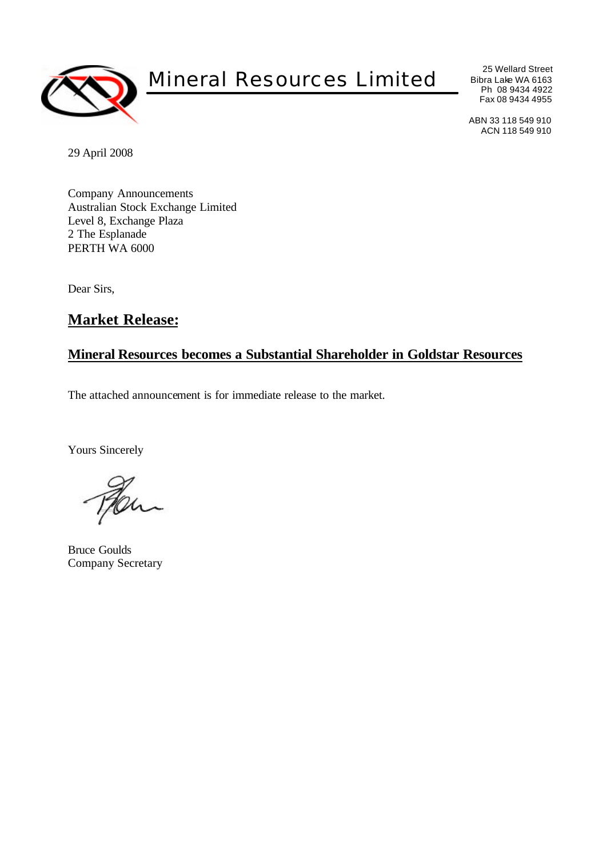

# Mineral Resources Limited

25 Wellard Street Bibra Lake WA 6163 Ph 08 9434 4922 Fax 08 9434 4955

ABN 33 118 549 910 ACN 118 549 910

29 April 2008

Company Announcements Australian Stock Exchange Limited Level 8, Exchange Plaza 2 The Esplanade PERTH WA 6000

Dear Sirs,

## **Market Release:**

#### **Mineral Resources becomes a Substantial Shareholder in Goldstar Resources**

The attached announcement is for immediate release to the market.

Yours Sincerely

h

Bruce Goulds Company Secretary